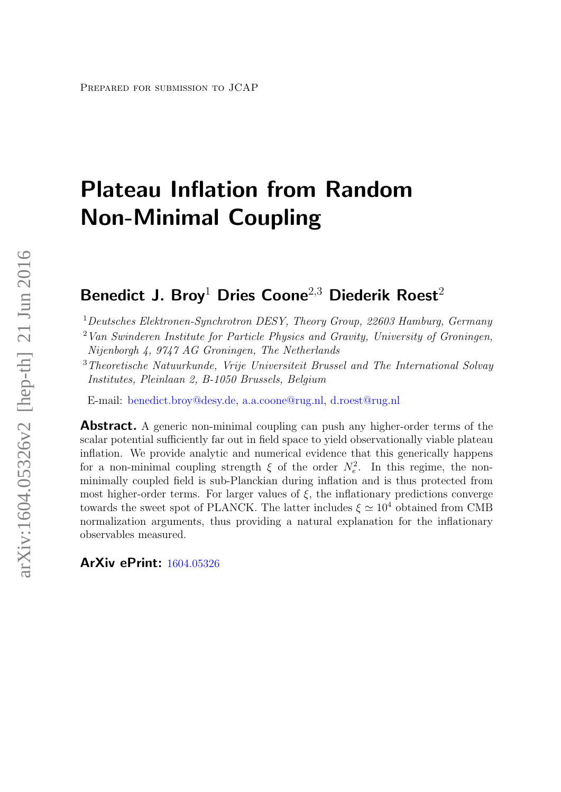# Plateau Inflation from Random Non-Minimal Coupling

# Benedict J. Broy<sup>1</sup> Dries Coone<sup>2,3</sup> Diederik Roest<sup>2</sup>

<sup>1</sup>Deutsches Elektronen-Synchrotron DESY, Theory Group, 22603 Hamburg, Germany

 $2$  Van Swinderen Institute for Particle Physics and Gravity, University of Groningen, Nijenborgh 4, 9747 AG Groningen, The Netherlands

<sup>3</sup>Theoretische Natuurkunde, Vrije Universiteit Brussel and The International Solvay Institutes, Pleinlaan 2, B-1050 Brussels, Belgium

E-mail: [benedict.broy@desy.de,](mailto:benedict.broy@desy.de) [a.a.coone@rug.nl,](mailto:a.a.coone@rug.nl) [d.roest@rug.nl](mailto:d.roest@rug.nl)

**Abstract.** A generic non-minimal coupling can push any higher-order terms of the scalar potential sufficiently far out in field space to yield observationally viable plateau inflation. We provide analytic and numerical evidence that this generically happens for a non-minimal coupling strength  $\xi$  of the order  $N_e^2$ . In this regime, the nonminimally coupled field is sub-Planckian during inflation and is thus protected from most higher-order terms. For larger values of  $\xi$ , the inflationary predictions converge towards the sweet spot of PLANCK. The latter includes  $\xi \simeq 10^4$  obtained from CMB normalization arguments, thus providing a natural explanation for the inflationary observables measured.

ArXiv ePrint: [1604.05326](http://arxiv.org/abs/1604.05326)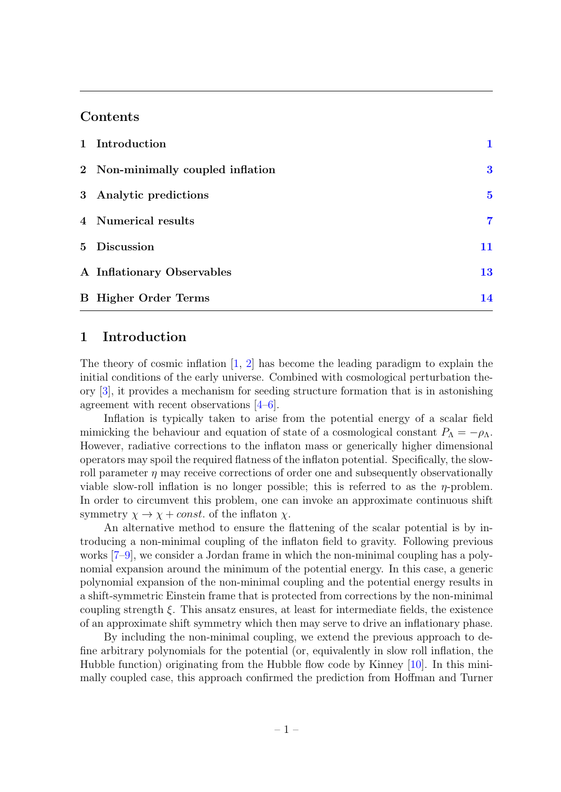#### Contents

| 1 Introduction                    |                         |
|-----------------------------------|-------------------------|
| 2 Non-minimally coupled inflation | $\bf{3}$                |
| 3 Analytic predictions            | $\overline{\mathbf{5}}$ |
| 4 Numerical results               | 7                       |
| 5 Discussion                      | 11                      |
| A Inflationary Observables        | 13                      |
| <b>B</b> Higher Order Terms       | 14                      |

#### <span id="page-1-0"></span>1 Introduction

The theory of cosmic inflation [\[1,](#page-16-0) [2\]](#page-16-1) has become the leading paradigm to explain the initial conditions of the early universe. Combined with cosmological perturbation theory [\[3\]](#page-16-2), it provides a mechanism for seeding structure formation that is in astonishing agreement with recent observations [\[4–](#page-16-3)[6\]](#page-16-4).

Inflation is typically taken to arise from the potential energy of a scalar field mimicking the behaviour and equation of state of a cosmological constant  $P_{\Lambda} = -\rho_{\Lambda}$ . However, radiative corrections to the inflaton mass or generically higher dimensional operators may spoil the required flatness of the inflaton potential. Specifically, the slowroll parameter  $\eta$  may receive corrections of order one and subsequently observationally viable slow-roll inflation is no longer possible; this is referred to as the η-problem. In order to circumvent this problem, one can invoke an approximate continuous shift symmetry  $\chi \to \chi + const.$  of the inflaton  $\chi$ .

An alternative method to ensure the flattening of the scalar potential is by introducing a non-minimal coupling of the inflaton field to gravity. Following previous works [\[7–](#page-16-5)[9\]](#page-16-6), we consider a Jordan frame in which the non-minimal coupling has a polynomial expansion around the minimum of the potential energy. In this case, a generic polynomial expansion of the non-minimal coupling and the potential energy results in a shift-symmetric Einstein frame that is protected from corrections by the non-minimal coupling strength  $\xi$ . This ansatz ensures, at least for intermediate fields, the existence of an approximate shift symmetry which then may serve to drive an inflationary phase.

By including the non-minimal coupling, we extend the previous approach to define arbitrary polynomials for the potential (or, equivalently in slow roll inflation, the Hubble function) originating from the Hubble flow code by Kinney [\[10\]](#page-16-7). In this minimally coupled case, this approach confirmed the prediction from Hoffman and Turner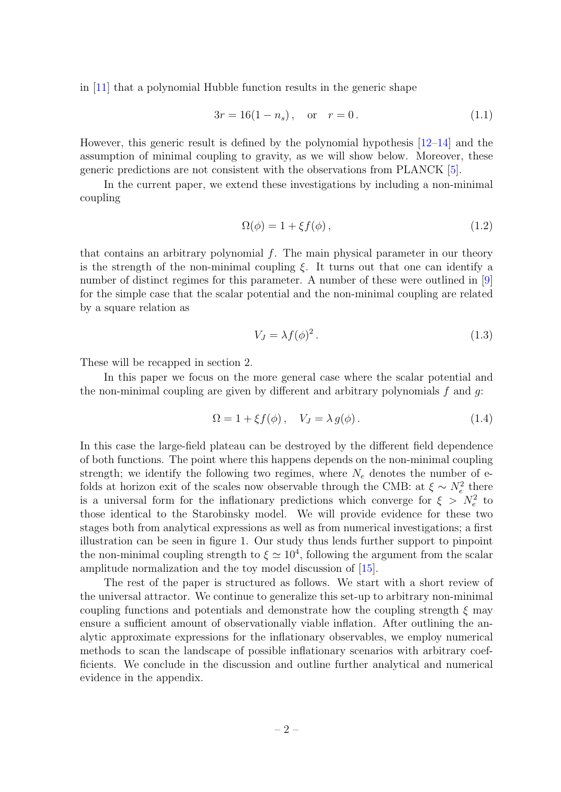in [\[11\]](#page-16-8) that a polynomial Hubble function results in the generic shape

<span id="page-2-2"></span>
$$
3r = 16(1 - n_s), \quad \text{or} \quad r = 0. \tag{1.1}
$$

However, this generic result is defined by the polynomial hypothesis [\[12](#page-16-9)[–14\]](#page-16-10) and the assumption of minimal coupling to gravity, as we will show below. Moreover, these generic predictions are not consistent with the observations from PLANCK [\[5\]](#page-16-11).

In the current paper, we extend these investigations by including a non-minimal coupling

<span id="page-2-0"></span>
$$
\Omega(\phi) = 1 + \xi f(\phi),\tag{1.2}
$$

that contains an arbitrary polynomial  $f$ . The main physical parameter in our theory is the strength of the non-minimal coupling  $\xi$ . It turns out that one can identify a number of distinct regimes for this parameter. A number of these were outlined in [\[9\]](#page-16-6) for the simple case that the scalar potential and the non-minimal coupling are related by a square relation as

<span id="page-2-3"></span><span id="page-2-1"></span>
$$
V_J = \lambda f(\phi)^2. \tag{1.3}
$$

These will be recapped in section 2.

In this paper we focus on the more general case where the scalar potential and the non-minimal coupling are given by different and arbitrary polynomials  $f$  and  $g$ :

$$
\Omega = 1 + \xi f(\phi), \quad V_J = \lambda g(\phi). \tag{1.4}
$$

In this case the large-field plateau can be destroyed by the different field dependence of both functions. The point where this happens depends on the non-minimal coupling strength; we identify the following two regimes, where  $N_e$  denotes the number of efolds at horizon exit of the scales now observable through the CMB: at  $\xi \sim N_e^2$  there is a universal form for the inflationary predictions which converge for  $\xi > N_e^2$  to those identical to the Starobinsky model. We will provide evidence for these two stages both from analytical expressions as well as from numerical investigations; a first illustration can be seen in figure 1. Our study thus lends further support to pinpoint the non-minimal coupling strength to  $\xi \simeq 10^4$ , following the argument from the scalar amplitude normalization and the toy model discussion of [\[15\]](#page-16-12).

The rest of the paper is structured as follows. We start with a short review of the universal attractor. We continue to generalize this set-up to arbitrary non-minimal coupling functions and potentials and demonstrate how the coupling strength  $\xi$  may ensure a sufficient amount of observationally viable inflation. After outlining the analytic approximate expressions for the inflationary observables, we employ numerical methods to scan the landscape of possible inflationary scenarios with arbitrary coefficients. We conclude in the discussion and outline further analytical and numerical evidence in the appendix.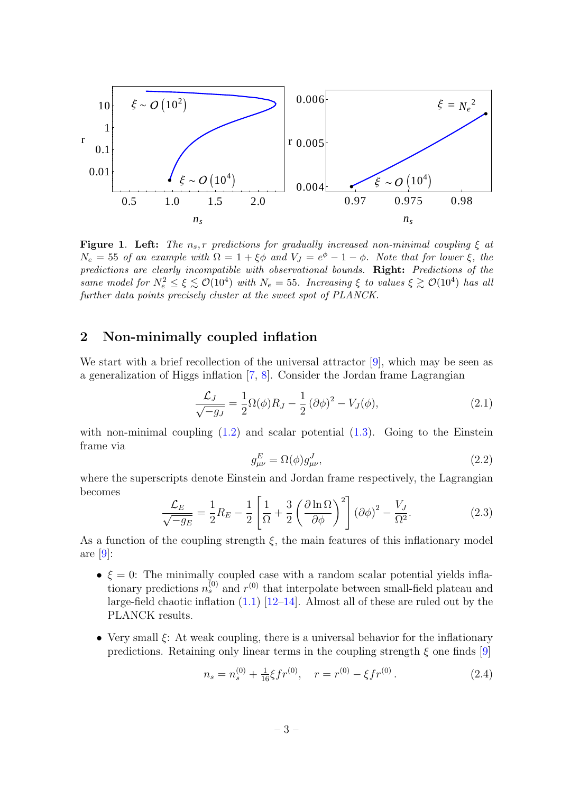

**Figure 1.** Left: The  $n_s$ , r predictions for gradually increased non-minimal coupling  $\xi$  at  $N_e = 55$  of an example with  $\Omega = 1 + \xi \phi$  and  $V_J = e^{\phi} - 1 - \phi$ . Note that for lower  $\xi$ , the predictions are clearly incompatible with observational bounds. Right: Predictions of the same model for  $N_e^2 \le \xi \lesssim \mathcal{O}(10^4)$  with  $N_e = 55$ . Increasing  $\xi$  to values  $\xi \gtrsim \mathcal{O}(10^4)$  has all further data points precisely cluster at the sweet spot of PLANCK.

#### <span id="page-3-0"></span>2 Non-minimally coupled inflation

We start with a brief recollection of the universal attractor [\[9\]](#page-16-6), which may be seen as a generalization of Higgs inflation [\[7,](#page-16-5) [8\]](#page-16-13). Consider the Jordan frame Lagrangian

$$
\frac{\mathcal{L}_J}{\sqrt{-g_J}} = \frac{1}{2}\Omega(\phi)R_J - \frac{1}{2}(\partial\phi)^2 - V_J(\phi),\tag{2.1}
$$

with non-minimal coupling  $(1.2)$  and scalar potential  $(1.3)$ . Going to the Einstein frame via

$$
g_{\mu\nu}^{E} = \Omega(\phi)g_{\mu\nu}^{J},\tag{2.2}
$$

where the superscripts denote Einstein and Jordan frame respectively, the Lagrangian becomes

<span id="page-3-1"></span>
$$
\frac{\mathcal{L}_E}{\sqrt{-g_E}} = \frac{1}{2} R_E - \frac{1}{2} \left[ \frac{1}{\Omega} + \frac{3}{2} \left( \frac{\partial \ln \Omega}{\partial \phi} \right)^2 \right] (\partial \phi)^2 - \frac{V_J}{\Omega^2}.
$$
 (2.3)

As a function of the coupling strength  $\xi$ , the main features of this inflationary model are [\[9\]](#page-16-6):

- $\xi = 0$ : The minimally coupled case with a random scalar potential yields inflationary predictions  $n_s^{(0)}$  and  $r^{(0)}$  that interpolate between small-field plateau and large-field chaotic inflation [\(1.1\)](#page-2-2) [\[12](#page-16-9)[–14\]](#page-16-10). Almost all of these are ruled out by the PLANCK results.
- Very small  $\xi$ : At weak coupling, there is a universal behavior for the inflationary predictions. Retaining only linear terms in the coupling strength  $\xi$  one finds [\[9\]](#page-16-6)

$$
n_s = n_s^{(0)} + \frac{1}{16} \xi f r^{(0)}, \quad r = r^{(0)} - \xi f r^{(0)}.
$$
 (2.4)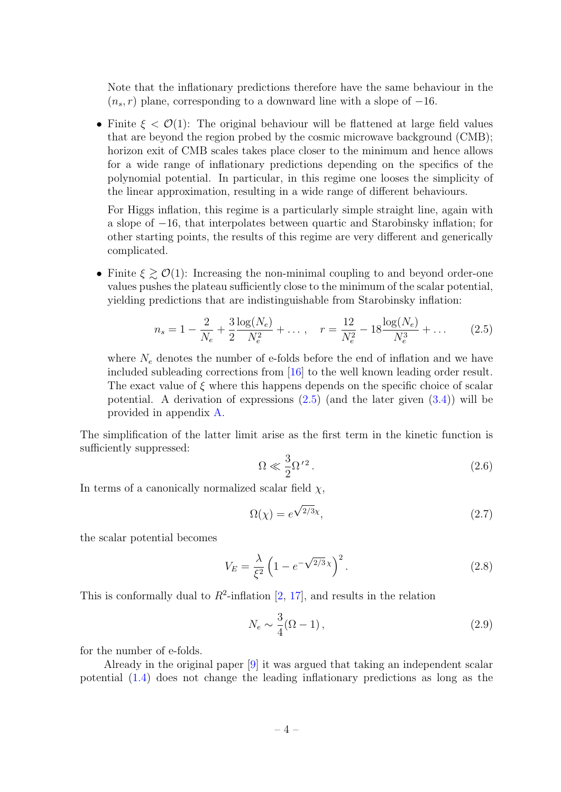Note that the inflationary predictions therefore have the same behaviour in the  $(n_s, r)$  plane, corresponding to a downward line with a slope of  $-16$ .

• Finite  $\xi < \mathcal{O}(1)$ : The original behaviour will be flattened at large field values that are beyond the region probed by the cosmic microwave background (CMB); horizon exit of CMB scales takes place closer to the minimum and hence allows for a wide range of inflationary predictions depending on the specifics of the polynomial potential. In particular, in this regime one looses the simplicity of the linear approximation, resulting in a wide range of different behaviours.

For Higgs inflation, this regime is a particularly simple straight line, again with a slope of −16, that interpolates between quartic and Starobinsky inflation; for other starting points, the results of this regime are very different and generically complicated.

• Finite  $\xi \geq \mathcal{O}(1)$ : Increasing the non-minimal coupling to and beyond order-one values pushes the plateau sufficiently close to the minimum of the scalar potential, yielding predictions that are indistinguishable from Starobinsky inflation:

$$
n_s = 1 - \frac{2}{N_e} + \frac{3}{2} \frac{\log(N_e)}{N_e^2} + \dots, \quad r = \frac{12}{N_e^2} - 18 \frac{\log(N_e)}{N_e^3} + \dots \tag{2.5}
$$

where  $N_e$  denotes the number of e-folds before the end of inflation and we have included subleading corrections from [\[16\]](#page-16-14) to the well known leading order result. The exact value of  $\xi$  where this happens depends on the specific choice of scalar potential. A derivation of expressions  $(2.5)$  (and the later given  $(3.4)$ ) will be provided in appendix [A.](#page-13-0)

The simplification of the latter limit arise as the first term in the kinetic function is sufficiently suppressed:

<span id="page-4-0"></span>
$$
\Omega \ll \frac{3}{2} \Omega^{\prime 2} \,. \tag{2.6}
$$

In terms of a canonically normalized scalar field  $\chi$ ,

<span id="page-4-2"></span>
$$
\Omega(\chi) = e^{\sqrt{2/3}\chi},\tag{2.7}
$$

the scalar potential becomes

$$
V_E = \frac{\lambda}{\xi^2} \left( 1 - e^{-\sqrt{2/3} \chi} \right)^2.
$$
\n(2.8)

This is conformally dual to  $R^2$ -inflation [\[2,](#page-16-1) [17\]](#page-16-15), and results in the relation

<span id="page-4-1"></span>
$$
N_e \sim \frac{3}{4} (\Omega - 1) \,, \tag{2.9}
$$

for the number of e-folds.

Already in the original paper [\[9\]](#page-16-6) it was argued that taking an independent scalar potential [\(1.4\)](#page-2-3) does not change the leading inflationary predictions as long as the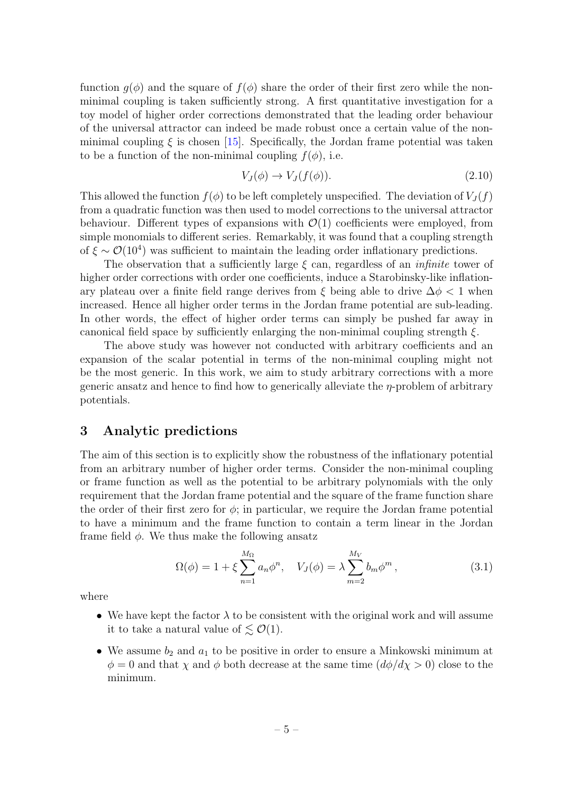function  $q(\phi)$  and the square of  $f(\phi)$  share the order of their first zero while the nonminimal coupling is taken sufficiently strong. A first quantitative investigation for a toy model of higher order corrections demonstrated that the leading order behaviour of the universal attractor can indeed be made robust once a certain value of the nonminimal coupling  $\xi$  is chosen [\[15\]](#page-16-12). Specifically, the Jordan frame potential was taken to be a function of the non-minimal coupling  $f(\phi)$ , i.e.

$$
V_J(\phi) \to V_J(f(\phi)). \tag{2.10}
$$

This allowed the function  $f(\phi)$  to be left completely unspecified. The deviation of  $V_J(f)$ from a quadratic function was then used to model corrections to the universal attractor behaviour. Different types of expansions with  $\mathcal{O}(1)$  coefficients were employed, from simple monomials to different series. Remarkably, it was found that a coupling strength of  $\xi \sim \mathcal{O}(10^4)$  was sufficient to maintain the leading order inflationary predictions.

The observation that a sufficiently large  $\xi$  can, regardless of an *infinite* tower of higher order corrections with order one coefficients, induce a Starobinsky-like inflationary plateau over a finite field range derives from  $\xi$  being able to drive  $\Delta \phi < 1$  when increased. Hence all higher order terms in the Jordan frame potential are sub-leading. In other words, the effect of higher order terms can simply be pushed far away in canonical field space by sufficiently enlarging the non-minimal coupling strength  $\xi$ .

The above study was however not conducted with arbitrary coefficients and an expansion of the scalar potential in terms of the non-minimal coupling might not be the most generic. In this work, we aim to study arbitrary corrections with a more generic ansatz and hence to find how to generically alleviate the  $\eta$ -problem of arbitrary potentials.

#### <span id="page-5-0"></span>3 Analytic predictions

The aim of this section is to explicitly show the robustness of the inflationary potential from an arbitrary number of higher order terms. Consider the non-minimal coupling or frame function as well as the potential to be arbitrary polynomials with the only requirement that the Jordan frame potential and the square of the frame function share the order of their first zero for  $\phi$ ; in particular, we require the Jordan frame potential to have a minimum and the frame function to contain a term linear in the Jordan frame field  $\phi$ . We thus make the following ansatz

<span id="page-5-1"></span>
$$
\Omega(\phi) = 1 + \xi \sum_{n=1}^{M_{\Omega}} a_n \phi^n, \quad V_J(\phi) = \lambda \sum_{m=2}^{M_V} b_m \phi^m, \tag{3.1}
$$

where

- We have kept the factor  $\lambda$  to be consistent with the original work and will assume it to take a natural value of  $\lesssim \mathcal{O}(1)$ .
- We assume  $b_2$  and  $a_1$  to be positive in order to ensure a Minkowski minimum at  $\phi = 0$  and that  $\chi$  and  $\phi$  both decrease at the same time  $(d\phi/d\chi > 0)$  close to the minimum.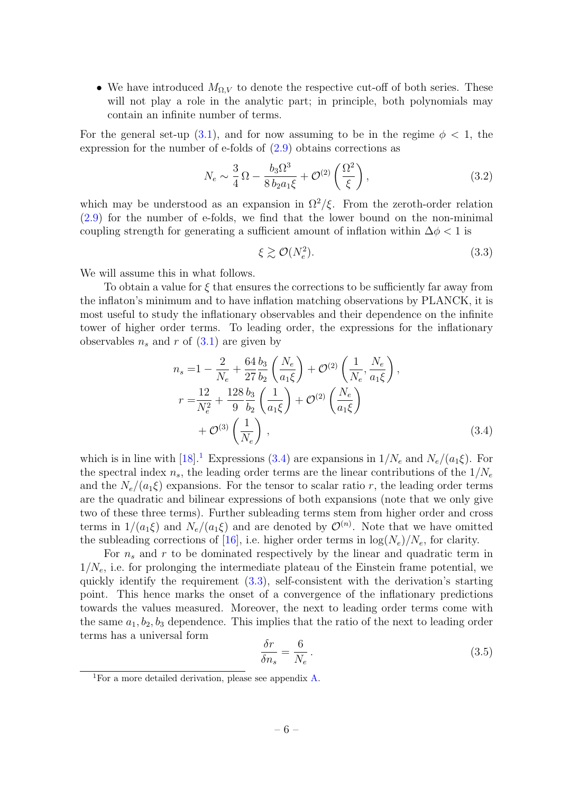• We have introduced  $M_{\Omega,V}$  to denote the respective cut-off of both series. These will not play a role in the analytic part; in principle, both polynomials may contain an infinite number of terms.

For the general set-up [\(3.1\)](#page-5-1), and for now assuming to be in the regime  $\phi < 1$ , the expression for the number of e-folds of [\(2.9\)](#page-4-1) obtains corrections as

<span id="page-6-4"></span>
$$
N_e \sim \frac{3}{4} \Omega - \frac{b_3 \Omega^3}{8 b_2 a_1 \xi} + \mathcal{O}^{(2)}\left(\frac{\Omega^2}{\xi}\right),\tag{3.2}
$$

which may be understood as an expansion in  $\Omega^2/\xi$ . From the zeroth-order relation [\(2.9\)](#page-4-1) for the number of e-folds, we find that the lower bound on the non-minimal coupling strength for generating a sufficient amount of inflation within  $\Delta \phi < 1$  is

<span id="page-6-2"></span><span id="page-6-0"></span>
$$
\xi \gtrsim \mathcal{O}(N_e^2). \tag{3.3}
$$

We will assume this in what follows.

To obtain a value for  $\xi$  that ensures the corrections to be sufficiently far away from the inflaton's minimum and to have inflation matching observations by PLANCK, it is most useful to study the inflationary observables and their dependence on the infinite tower of higher order terms. To leading order, the expressions for the inflationary observables  $n_s$  and r of  $(3.1)$  are given by

$$
n_s = 1 - \frac{2}{N_e} + \frac{64}{27} \frac{b_3}{b_2} \left(\frac{N_e}{a_1 \xi}\right) + \mathcal{O}^{(2)} \left(\frac{1}{N_e}, \frac{N_e}{a_1 \xi}\right),
$$
  
\n
$$
r = \frac{12}{N_e^2} + \frac{128}{9} \frac{b_3}{b_2} \left(\frac{1}{a_1 \xi}\right) + \mathcal{O}^{(2)} \left(\frac{N_e}{a_1 \xi}\right)
$$
  
\n
$$
+ \mathcal{O}^{(3)} \left(\frac{1}{N_e}\right),
$$
\n(3.4)

which is in line with  $[18]$ <sup>[1](#page-6-1)</sup> Expressions [\(3.4\)](#page-6-0) are expansions in  $1/N_e$  and  $N_e/(a_1\xi)$ . For the spectral index  $n_s$ , the leading order terms are the linear contributions of the  $1/N_e$ and the  $N_e/(a_1\xi)$  expansions. For the tensor to scalar ratio r, the leading order terms are the quadratic and bilinear expressions of both expansions (note that we only give two of these three terms). Further subleading terms stem from higher order and cross terms in  $1/(a_1\xi)$  and  $N_e/(a_1\xi)$  and are denoted by  $\mathcal{O}^{(n)}$ . Note that we have omitted the subleading corrections of [\[16\]](#page-16-14), i.e. higher order terms in  $\log(N_e)/N_e$ , for clarity.

For  $n_s$  and r to be dominated respectively by the linear and quadratic term in  $1/N_e$ , i.e. for prolonging the intermediate plateau of the Einstein frame potential, we quickly identify the requirement [\(3.3\)](#page-6-2), self-consistent with the derivation's starting point. This hence marks the onset of a convergence of the inflationary predictions towards the values measured. Moreover, the next to leading order terms come with the same  $a_1, b_2, b_3$  dependence. This implies that the ratio of the next to leading order terms has a universal form

<span id="page-6-3"></span>
$$
\frac{\delta r}{\delta n_s} = \frac{6}{N_e} \,. \tag{3.5}
$$

<span id="page-6-1"></span><sup>&</sup>lt;sup>1</sup>For a more detailed derivation, please see appendix  $A$ .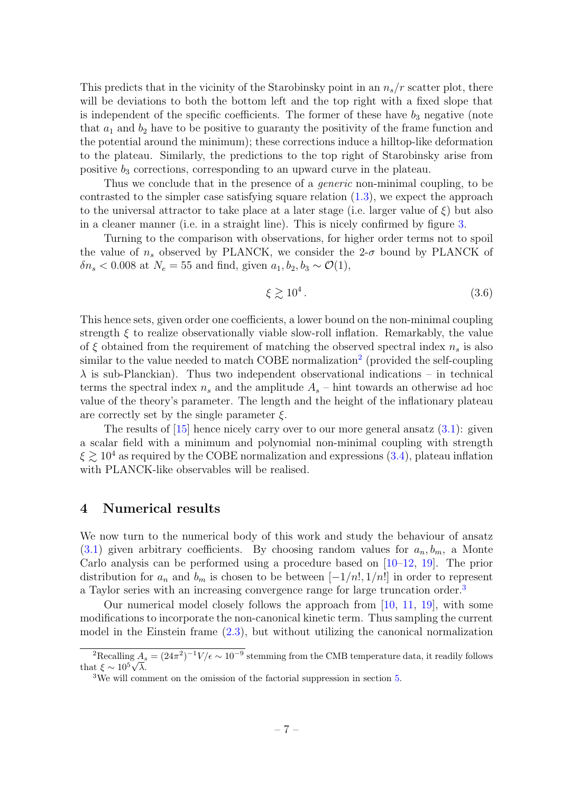This predicts that in the vicinity of the Starobinsky point in an  $n_s/r$  scatter plot, there will be deviations to both the bottom left and the top right with a fixed slope that is independent of the specific coefficients. The former of these have  $b_3$  negative (note that  $a_1$  and  $b_2$  have to be positive to guaranty the positivity of the frame function and the potential around the minimum); these corrections induce a hilltop-like deformation to the plateau. Similarly, the predictions to the top right of Starobinsky arise from positive  $b_3$  corrections, corresponding to an upward curve in the plateau.

Thus we conclude that in the presence of a *generic* non-minimal coupling, to be contrasted to the simpler case satisfying square relation  $(1.3)$ , we expect the approach to the universal attractor to take place at a later stage (i.e. larger value of  $\xi$ ) but also in a cleaner manner (i.e. in a straight line). This is nicely confirmed by figure [3.](#page-10-0)

Turning to the comparison with observations, for higher order terms not to spoil the value of  $n_s$  observed by PLANCK, we consider the 2- $\sigma$  bound by PLANCK of  $\delta n_s < 0.008$  at  $N_e = 55$  and find, given  $a_1, b_2, b_3 \sim \mathcal{O}(1)$ ,

$$
\xi \gtrsim 10^4. \tag{3.6}
$$

This hence sets, given order one coefficients, a lower bound on the non-minimal coupling strength  $\xi$  to realize observationally viable slow-roll inflation. Remarkably, the value of  $\xi$  obtained from the requirement of matching the observed spectral index  $n_s$  is also similar to the value needed to match COBE normalization<sup>[2](#page-7-1)</sup> (provided the self-coupling  $\lambda$  is sub-Planckian). Thus two independent observational indications – in technical terms the spectral index  $n_s$  and the amplitude  $A_s$  – hint towards an otherwise ad hoc value of the theory's parameter. The length and the height of the inflationary plateau are correctly set by the single parameter  $\xi$ .

The results of  $[15]$  hence nicely carry over to our more general ansatz  $(3.1)$ : given a scalar field with a minimum and polynomial non-minimal coupling with strength  $\xi \gtrsim 10^4$  as required by the COBE normalization and expressions [\(3.4\)](#page-6-0), plateau inflation with PLANCK-like observables will be realised.

#### <span id="page-7-0"></span>4 Numerical results

We now turn to the numerical body of this work and study the behaviour of ansatz  $(3.1)$  given arbitrary coefficients. By choosing random values for  $a_n, b_m$ , a Monte Carlo analysis can be performed using a procedure based on [\[10–](#page-16-7)[12,](#page-16-9) [19\]](#page-16-17). The prior distribution for  $a_n$  and  $b_m$  is chosen to be between  $[-1/n!, 1/n!]$  in order to represent a Taylor series with an increasing convergence range for large truncation order.<sup>[3](#page-7-2)</sup>

Our numerical model closely follows the approach from [\[10,](#page-16-7) [11,](#page-16-8) [19\]](#page-16-17), with some modifications to incorporate the non-canonical kinetic term. Thus sampling the current model in the Einstein frame  $(2.3)$ , but without utilizing the canonical normalization

<span id="page-7-1"></span> ${}^{2}$ Recalling  $A_s = (24\pi^2)^{-1}V/\epsilon \sim 10^{-9}$  stemming from the CMB temperature data, it readily follows that  $\xi \sim 10^5 \sqrt{\lambda}$ .

<span id="page-7-2"></span><sup>3</sup>We will comment on the omission of the factorial suppression in section [5.](#page-11-0)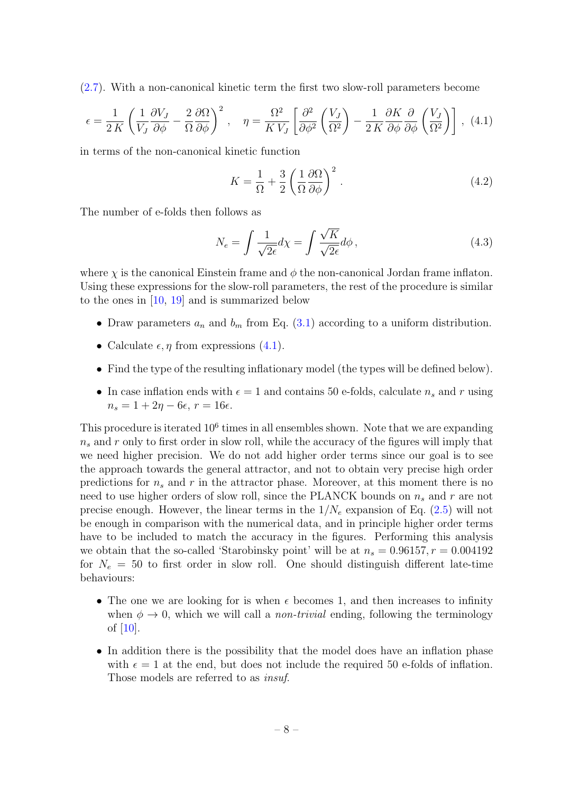[\(2.7\)](#page-4-2). With a non-canonical kinetic term the first two slow-roll parameters become

$$
\epsilon = \frac{1}{2K} \left( \frac{1}{V_J} \frac{\partial V_J}{\partial \phi} - \frac{2}{\Omega} \frac{\partial \Omega}{\partial \phi} \right)^2, \quad \eta = \frac{\Omega^2}{K V_J} \left[ \frac{\partial^2}{\partial \phi^2} \left( \frac{V_J}{\Omega^2} \right) - \frac{1}{2K} \frac{\partial K}{\partial \phi} \frac{\partial}{\partial \phi} \left( \frac{V_J}{\Omega^2} \right) \right], \tag{4.1}
$$

in terms of the non-canonical kinetic function

<span id="page-8-0"></span>
$$
K = \frac{1}{\Omega} + \frac{3}{2} \left( \frac{1}{\Omega} \frac{\partial \Omega}{\partial \phi} \right)^2.
$$
 (4.2)

The number of e-folds then follows as

$$
N_e = \int \frac{1}{\sqrt{2\epsilon}} d\chi = \int \frac{\sqrt{K}}{\sqrt{2\epsilon}} d\phi, \qquad (4.3)
$$

where  $\chi$  is the canonical Einstein frame and  $\phi$  the non-canonical Jordan frame inflaton. Using these expressions for the slow-roll parameters, the rest of the procedure is similar to the ones in [\[10,](#page-16-7) [19\]](#page-16-17) and is summarized below

- Draw parameters  $a_n$  and  $b_m$  from Eq. [\(3.1\)](#page-5-1) according to a uniform distribution.
- Calculate  $\epsilon, \eta$  from expressions [\(4.1\)](#page-8-0).
- Find the type of the resulting inflationary model (the types will be defined below).
- In case inflation ends with  $\epsilon = 1$  and contains 50 e-folds, calculate  $n_s$  and r using  $n_s = 1 + 2\eta - 6\epsilon$ ,  $r = 16\epsilon$ .

This procedure is iterated  $10<sup>6</sup>$  times in all ensembles shown. Note that we are expanding  $n<sub>s</sub>$  and r only to first order in slow roll, while the accuracy of the figures will imply that we need higher precision. We do not add higher order terms since our goal is to see the approach towards the general attractor, and not to obtain very precise high order predictions for  $n_s$  and r in the attractor phase. Moreover, at this moment there is no need to use higher orders of slow roll, since the PLANCK bounds on  $n_s$  and r are not precise enough. However, the linear terms in the  $1/N_e$  expansion of Eq. [\(2.5\)](#page-4-0) will not be enough in comparison with the numerical data, and in principle higher order terms have to be included to match the accuracy in the figures. Performing this analysis we obtain that the so-called 'Starobinsky point' will be at  $n_s = 0.96157, r = 0.004192$ for  $N_e = 50$  to first order in slow roll. One should distinguish different late-time behaviours:

- The one we are looking for is when  $\epsilon$  becomes 1, and then increases to infinity when  $\phi \rightarrow 0$ , which we will call a *non-trivial* ending, following the terminology of [\[10\]](#page-16-7).
- In addition there is the possibility that the model does have an inflation phase with  $\epsilon = 1$  at the end, but does not include the required 50 e-folds of inflation. Those models are referred to as insuf.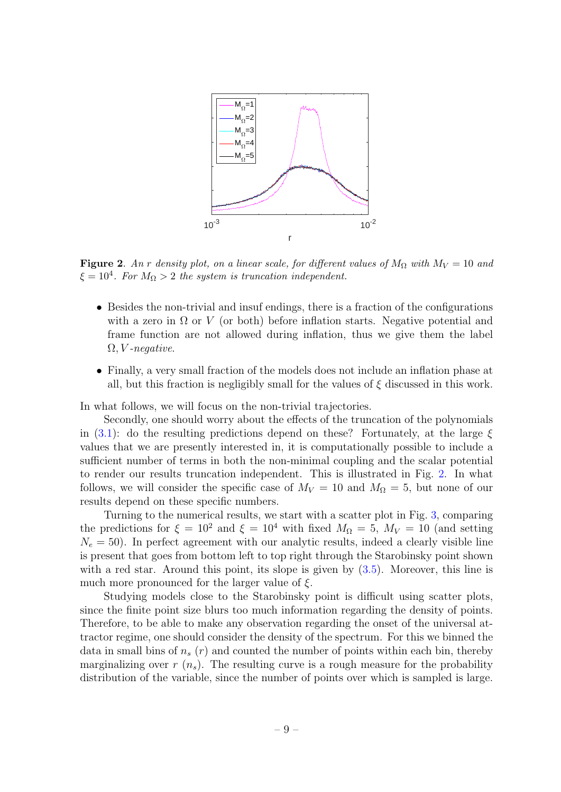

<span id="page-9-0"></span>Figure 2. An r density plot, on a linear scale, for different values of  $M_{\Omega}$  with  $M_V = 10$  and  $\xi = 10^4$ . For  $M_{\Omega} > 2$  the system is truncation independent.

- Besides the non-trivial and insufiendings, there is a fraction of the configurations with a zero in  $\Omega$  or V (or both) before inflation starts. Negative potential and frame function are not allowed during inflation, thus we give them the label  $\Omega$ , *V* - *negative*.
- Finally, a very small fraction of the models does not include an inflation phase at all, but this fraction is negligibly small for the values of  $\xi$  discussed in this work.

In what follows, we will focus on the non-trivial trajectories.

Secondly, one should worry about the effects of the truncation of the polynomials in  $(3.1)$ : do the resulting predictions depend on these? Fortunately, at the large  $\xi$ values that we are presently interested in, it is computationally possible to include a sufficient number of terms in both the non-minimal coupling and the scalar potential to render our results truncation independent. This is illustrated in Fig. [2.](#page-9-0) In what follows, we will consider the specific case of  $M_V = 10$  and  $M_\Omega = 5$ , but none of our results depend on these specific numbers.

Turning to the numerical results, we start with a scatter plot in Fig. [3,](#page-10-0) comparing the predictions for  $\xi = 10^2$  and  $\xi = 10^4$  with fixed  $M_{\Omega} = 5$ ,  $M_V = 10$  (and setting  $N_e = 50$ . In perfect agreement with our analytic results, indeed a clearly visible line is present that goes from bottom left to top right through the Starobinsky point shown with a red star. Around this point, its slope is given by  $(3.5)$ . Moreover, this line is much more pronounced for the larger value of  $\xi$ .

Studying models close to the Starobinsky point is difficult using scatter plots, since the finite point size blurs too much information regarding the density of points. Therefore, to be able to make any observation regarding the onset of the universal attractor regime, one should consider the density of the spectrum. For this we binned the data in small bins of  $n_s(r)$  and counted the number of points within each bin, thereby marginalizing over r  $(n_s)$ . The resulting curve is a rough measure for the probability distribution of the variable, since the number of points over which is sampled is large.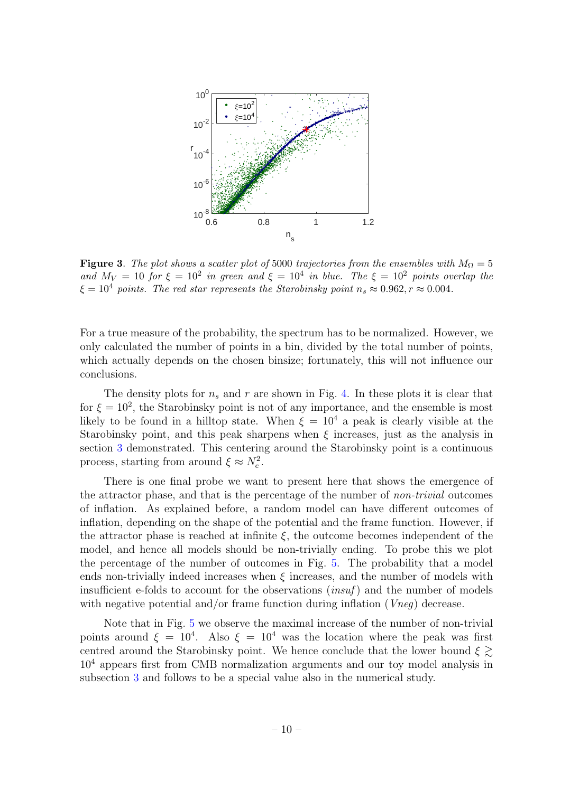

<span id="page-10-0"></span>Figure 3. The plot shows a scatter plot of 5000 trajectories from the ensembles with  $M_{\Omega} = 5$ and  $M_V = 10$  for  $\xi = 10^2$  in green and  $\xi = 10^4$  in blue. The  $\xi = 10^2$  points overlap the  $\xi = 10^4$  points. The red star represents the Starobinsky point  $n_s \approx 0.962, r \approx 0.004$ .

For a true measure of the probability, the spectrum has to be normalized. However, we only calculated the number of points in a bin, divided by the total number of points, which actually depends on the chosen binsize; fortunately, this will not influence our conclusions.

The density plots for  $n_s$  and r are shown in Fig. [4.](#page-11-1) In these plots it is clear that for  $\xi = 10^2$ , the Starobinsky point is not of any importance, and the ensemble is most likely to be found in a hilltop state. When  $\xi = 10^4$  a peak is clearly visible at the Starobinsky point, and this peak sharpens when  $\xi$  increases, just as the analysis in section [3](#page-5-0) demonstrated. This centering around the Starobinsky point is a continuous process, starting from around  $\xi \approx N_e^2$ .

There is one final probe we want to present here that shows the emergence of the attractor phase, and that is the percentage of the number of non-trivial outcomes of inflation. As explained before, a random model can have different outcomes of inflation, depending on the shape of the potential and the frame function. However, if the attractor phase is reached at infinite  $\xi$ , the outcome becomes independent of the model, and hence all models should be non-trivially ending. To probe this we plot the percentage of the number of outcomes in Fig. [5.](#page-12-0) The probability that a model ends non-trivially indeed increases when  $\xi$  increases, and the number of models with insufficient e-folds to account for the observations  $(insuf)$  and the number of models with negative potential and/or frame function during inflation (Vneq) decrease.

Note that in Fig. [5](#page-12-0) we observe the maximal increase of the number of non-trivial points around  $\xi = 10^4$ . Also  $\xi = 10^4$  was the location where the peak was first centred around the Starobinsky point. We hence conclude that the lower bound  $\xi \gtrsim$  $10<sup>4</sup>$  appears first from CMB normalization arguments and our toy model analysis in subsection [3](#page-5-0) and follows to be a special value also in the numerical study.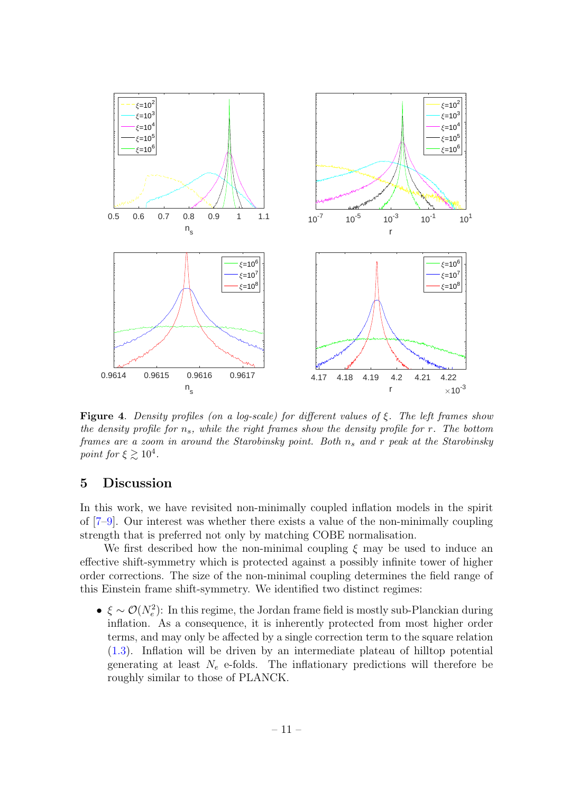

<span id="page-11-1"></span>**Figure 4.** Density profiles (on a log-scale) for different values of  $\xi$ . The left frames show the density profile for  $n_s$ , while the right frames show the density profile for r. The bottom frames are a zoom in around the Starobinsky point. Both  $n_s$  and r peak at the Starobinsky point for  $\xi \gtrsim 10^4$ .

## <span id="page-11-0"></span>5 Discussion

In this work, we have revisited non-minimally coupled inflation models in the spirit of [\[7–](#page-16-5)[9\]](#page-16-6). Our interest was whether there exists a value of the non-minimally coupling strength that is preferred not only by matching COBE normalisation.

We first described how the non-minimal coupling  $\xi$  may be used to induce an effective shift-symmetry which is protected against a possibly infinite tower of higher order corrections. The size of the non-minimal coupling determines the field range of this Einstein frame shift-symmetry. We identified two distinct regimes:

 $\bullet \xi \sim \mathcal{O}(N_e^2)$ : In this regime, the Jordan frame field is mostly sub-Planckian during inflation. As a consequence, it is inherently protected from most higher order terms, and may only be affected by a single correction term to the square relation [\(1.3\)](#page-2-1). Inflation will be driven by an intermediate plateau of hilltop potential generating at least  $N_e$  e-folds. The inflationary predictions will therefore be roughly similar to those of PLANCK.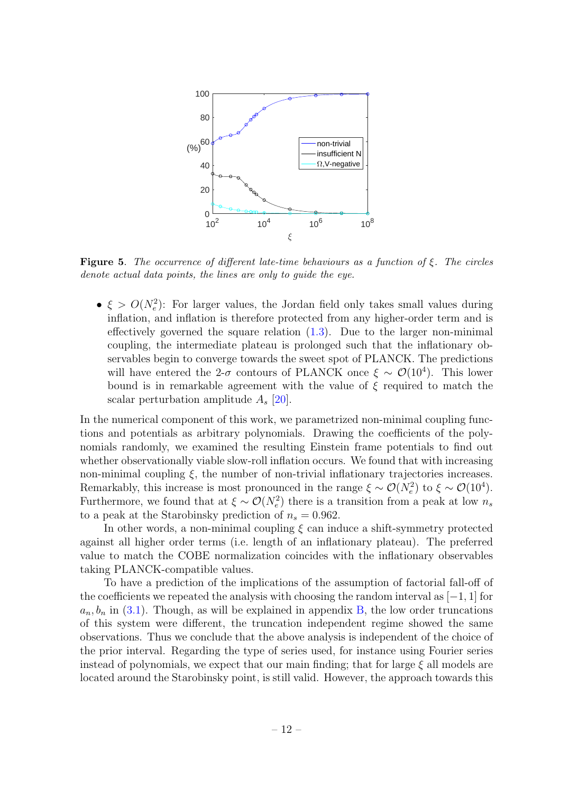

<span id="page-12-0"></span>**Figure 5.** The occurrence of different late-time behaviours as a function of  $\xi$ . The circles denote actual data points, the lines are only to guide the eye.

•  $\xi > O(N_e^2)$ : For larger values, the Jordan field only takes small values during inflation, and inflation is therefore protected from any higher-order term and is effectively governed the square relation [\(1.3\)](#page-2-1). Due to the larger non-minimal coupling, the intermediate plateau is prolonged such that the inflationary observables begin to converge towards the sweet spot of PLANCK. The predictions will have entered the 2- $\sigma$  contours of PLANCK once  $\xi \sim \mathcal{O}(10^4)$ . This lower bound is in remarkable agreement with the value of  $\xi$  required to match the scalar perturbation amplitude  $A_s$  [\[20\]](#page-17-0).

In the numerical component of this work, we parametrized non-minimal coupling functions and potentials as arbitrary polynomials. Drawing the coefficients of the polynomials randomly, we examined the resulting Einstein frame potentials to find out whether observationally viable slow-roll inflation occurs. We found that with increasing non-minimal coupling  $\xi$ , the number of non-trivial inflationary trajectories increases. Remarkably, this increase is most pronounced in the range  $\xi \sim \mathcal{O}(N_e^2)$  to  $\xi \sim \mathcal{O}(10^4)$ . Furthermore, we found that at  $\xi \sim \mathcal{O}(N_e^2)$  there is a transition from a peak at low  $n_s$ to a peak at the Starobinsky prediction of  $n_s = 0.962$ .

In other words, a non-minimal coupling  $\xi$  can induce a shift-symmetry protected against all higher order terms (i.e. length of an inflationary plateau). The preferred value to match the COBE normalization coincides with the inflationary observables taking PLANCK-compatible values.

To have a prediction of the implications of the assumption of factorial fall-off of the coefficients we repeated the analysis with choosing the random interval as  $[-1, 1]$  for  $a_n, b_n$  in [\(3.1\)](#page-5-1). Though, as will be explained in appendix [B,](#page-14-0) the low order truncations of this system were different, the truncation independent regime showed the same observations. Thus we conclude that the above analysis is independent of the choice of the prior interval. Regarding the type of series used, for instance using Fourier series instead of polynomials, we expect that our main finding; that for large  $\xi$  all models are located around the Starobinsky point, is still valid. However, the approach towards this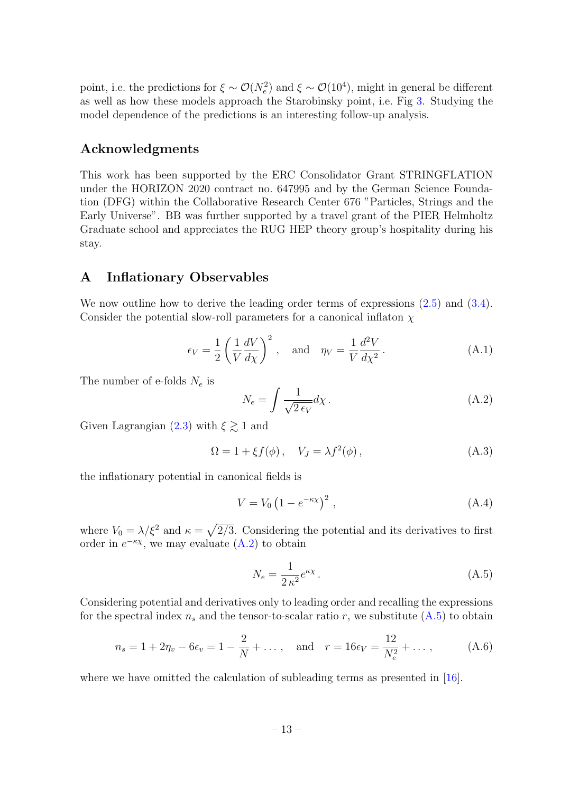point, i.e. the predictions for  $\xi \sim \mathcal{O}(N_e^2)$  and  $\xi \sim \mathcal{O}(10^4)$ , might in general be different as well as how these models approach the Starobinsky point, i.e. Fig [3.](#page-10-0) Studying the model dependence of the predictions is an interesting follow-up analysis.

#### Acknowledgments

This work has been supported by the ERC Consolidator Grant STRINGFLATION under the HORIZON 2020 contract no. 647995 and by the German Science Foundation (DFG) within the Collaborative Research Center 676 "Particles, Strings and the Early Universe". BB was further supported by a travel grant of the PIER Helmholtz Graduate school and appreciates the RUG HEP theory group's hospitality during his stay.

## <span id="page-13-0"></span>A Inflationary Observables

We now outline how to derive the leading order terms of expressions [\(2.5\)](#page-4-0) and [\(3.4\)](#page-6-0). Consider the potential slow-roll parameters for a canonical inflaton  $\chi$ 

$$
\epsilon_V = \frac{1}{2} \left( \frac{1}{V} \frac{dV}{d\chi} \right)^2, \text{ and } \eta_V = \frac{1}{V} \frac{d^2 V}{d\chi^2}.
$$
 (A.1)

The number of e-folds  $N_e$  is

<span id="page-13-1"></span>
$$
N_e = \int \frac{1}{\sqrt{2 \epsilon_V}} d\chi \,. \tag{A.2}
$$

Given Lagrangian [\(2.3\)](#page-3-1) with  $\xi \gtrsim 1$  and

$$
\Omega = 1 + \xi f(\phi), \quad V_J = \lambda f^2(\phi), \tag{A.3}
$$

the inflationary potential in canonical fields is

$$
V = V_0 \left(1 - e^{-\kappa \chi}\right)^2, \tag{A.4}
$$

where  $V_0 = \lambda/\xi^2$  and  $\kappa = \sqrt{2/3}$ . Considering the potential and its derivatives to first order in  $e^{-\kappa \chi}$ , we may evaluate  $(A.2)$  to obtain

<span id="page-13-2"></span>
$$
N_e = \frac{1}{2\,\kappa^2} e^{\kappa \chi} \,. \tag{A.5}
$$

Considering potential and derivatives only to leading order and recalling the expressions for the spectral index  $n_s$  and the tensor-to-scalar ratio r, we substitute  $(A.5)$  to obtain

$$
n_s = 1 + 2\eta_v - 6\epsilon_v = 1 - \frac{2}{N} + \dots
$$
, and  $r = 16\epsilon_V = \frac{12}{N_e^2} + \dots$ , (A.6)

where we have omitted the calculation of subleading terms as presented in [\[16\]](#page-16-14).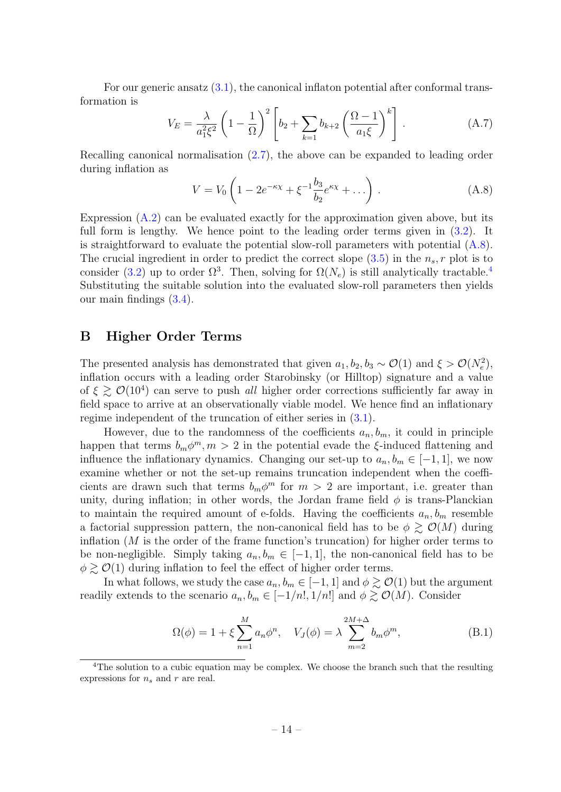For our generic ansatz [\(3.1\)](#page-5-1), the canonical inflaton potential after conformal transformation is

$$
V_E = \frac{\lambda}{a_1^2 \xi^2} \left( 1 - \frac{1}{\Omega} \right)^2 \left[ b_2 + \sum_{k=1} b_{k+2} \left( \frac{\Omega - 1}{a_1 \xi} \right)^k \right].
$$
 (A.7)

Recalling canonical normalisation [\(2.7\)](#page-4-2), the above can be expanded to leading order during inflation as

<span id="page-14-1"></span>
$$
V = V_0 \left( 1 - 2e^{-\kappa \chi} + \xi^{-1} \frac{b_3}{b_2} e^{\kappa \chi} + \dots \right) . \tag{A.8}
$$

Expression [\(A.2\)](#page-13-1) can be evaluated exactly for the approximation given above, but its full form is lengthy. We hence point to the leading order terms given in  $(3.2)$ . It is straightforward to evaluate the potential slow-roll parameters with potential  $(A.8)$ . The crucial ingredient in order to predict the correct slope  $(3.5)$  in the  $n_s$ , r plot is to consider [\(3.2\)](#page-6-4) up to order  $\Omega^3$ . Then, solving for  $\Omega(N_e)$  is still analytically tractable.<sup>[4](#page-14-2)</sup> Substituting the suitable solution into the evaluated slow-roll parameters then yields our main findings [\(3.4\)](#page-6-0).

#### <span id="page-14-0"></span>B Higher Order Terms

The presented analysis has demonstrated that given  $a_1, b_2, b_3 \sim \mathcal{O}(1)$  and  $\xi > \mathcal{O}(N_e^2)$ , inflation occurs with a leading order Starobinsky (or Hilltop) signature and a value of  $\xi \geq \mathcal{O}(10^4)$  can serve to push all higher order corrections sufficiently far away in field space to arrive at an observationally viable model. We hence find an inflationary regime independent of the truncation of either series in  $(3.1)$ .

However, due to the randomness of the coefficients  $a_n, b_m$ , it could in principle happen that terms  $b_m \phi^m$ ,  $m > 2$  in the potential evade the  $\xi$ -induced flattening and influence the inflationary dynamics. Changing our set-up to  $a_n, b_m \in [-1, 1]$ , we now examine whether or not the set-up remains truncation independent when the coefficients are drawn such that terms  $b_m \phi^m$  for  $m > 2$  are important, i.e. greater than unity, during inflation; in other words, the Jordan frame field  $\phi$  is trans-Planckian to maintain the required amount of e-folds. Having the coefficients  $a_n, b_m$  resemble a factorial suppression pattern, the non-canonical field has to be  $\phi \gtrsim \mathcal{O}(M)$  during inflation  $(M$  is the order of the frame function's truncation) for higher order terms to be non-negligible. Simply taking  $a_n, b_m \in [-1, 1]$ , the non-canonical field has to be  $\phi \gtrsim \mathcal{O}(1)$  during inflation to feel the effect of higher order terms.

In what follows, we study the case  $a_n, b_m \in [-1, 1]$  and  $\phi \gtrsim \mathcal{O}(1)$  but the argument readily extends to the scenario  $a_n, b_m \in [-1/n!, 1/n!]$  and  $\phi \gtrsim \mathcal{O}(M)$ . Consider

$$
\Omega(\phi) = 1 + \xi \sum_{n=1}^{M} a_n \phi^n, \quad V_J(\phi) = \lambda \sum_{m=2}^{2M+\Delta} b_m \phi^m,
$$
 (B.1)

<span id="page-14-2"></span><sup>&</sup>lt;sup>4</sup>The solution to a cubic equation may be complex. We choose the branch such that the resulting expressions for  $n_s$  and r are real.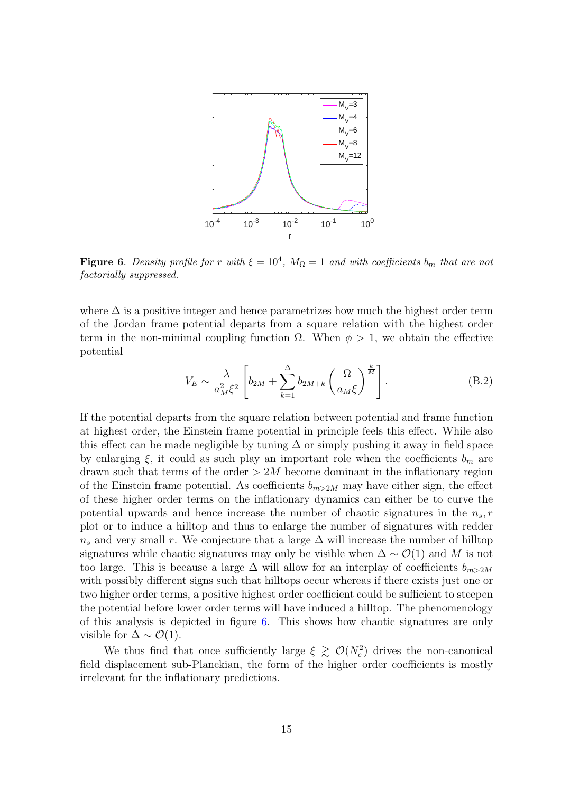

<span id="page-15-0"></span>**Figure 6.** Density profile for r with  $\xi = 10^4$ ,  $M_{\Omega} = 1$  and with coefficients  $b_m$  that are not factorially suppressed.

where  $\Delta$  is a positive integer and hence parametrizes how much the highest order term of the Jordan frame potential departs from a square relation with the highest order term in the non-minimal coupling function  $\Omega$ . When  $\phi > 1$ , we obtain the effective potential

$$
V_E \sim \frac{\lambda}{a_M^2 \xi^2} \left[ b_{2M} + \sum_{k=1}^{\Delta} b_{2M+k} \left( \frac{\Omega}{a_M \xi} \right)^{\frac{k}{M}} \right].
$$
 (B.2)

If the potential departs from the square relation between potential and frame function at highest order, the Einstein frame potential in principle feels this effect. While also this effect can be made negligible by tuning  $\Delta$  or simply pushing it away in field space by enlarging  $\xi$ , it could as such play an important role when the coefficients  $b_m$  are drawn such that terms of the order  $> 2M$  become dominant in the inflationary region of the Einstein frame potential. As coefficients  $b_{m>2M}$  may have either sign, the effect of these higher order terms on the inflationary dynamics can either be to curve the potential upwards and hence increase the number of chaotic signatures in the  $n_s$ , r plot or to induce a hilltop and thus to enlarge the number of signatures with redder  $n_s$  and very small r. We conjecture that a large  $\Delta$  will increase the number of hilltop signatures while chaotic signatures may only be visible when  $\Delta \sim \mathcal{O}(1)$  and M is not too large. This is because a large  $\Delta$  will allow for an interplay of coefficients  $b_{m>2M}$ with possibly different signs such that hilltops occur whereas if there exists just one or two higher order terms, a positive highest order coefficient could be sufficient to steepen the potential before lower order terms will have induced a hilltop. The phenomenology of this analysis is depicted in figure [6.](#page-15-0) This shows how chaotic signatures are only visible for  $\Delta \sim \mathcal{O}(1)$ .

We thus find that once sufficiently large  $\xi \geq \mathcal{O}(N_e^2)$  drives the non-canonical field displacement sub-Planckian, the form of the higher order coefficients is mostly irrelevant for the inflationary predictions.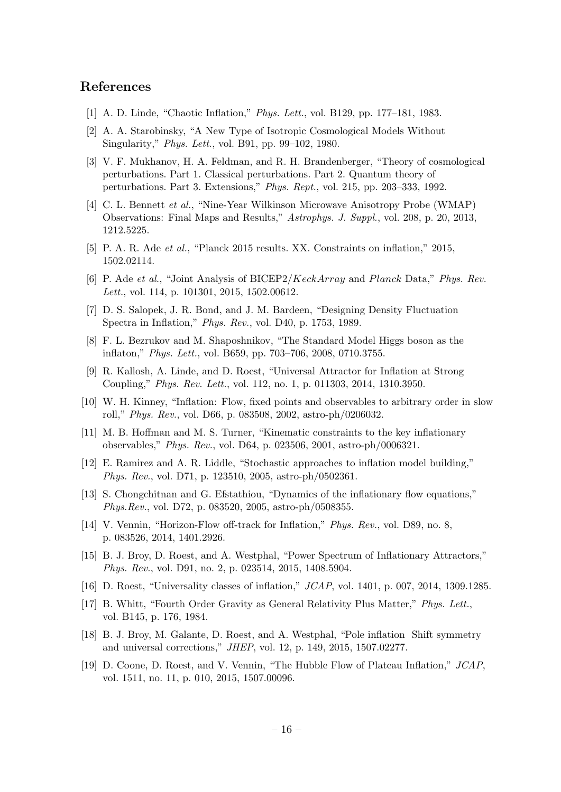#### References

- <span id="page-16-0"></span>[1] A. D. Linde, "Chaotic Inflation," Phys. Lett., vol. B129, pp. 177–181, 1983.
- <span id="page-16-1"></span>[2] A. A. Starobinsky, "A New Type of Isotropic Cosmological Models Without Singularity," Phys. Lett., vol. B91, pp. 99–102, 1980.
- <span id="page-16-2"></span>[3] V. F. Mukhanov, H. A. Feldman, and R. H. Brandenberger, "Theory of cosmological perturbations. Part 1. Classical perturbations. Part 2. Quantum theory of perturbations. Part 3. Extensions," Phys. Rept., vol. 215, pp. 203–333, 1992.
- <span id="page-16-3"></span>[4] C. L. Bennett et al., "Nine-Year Wilkinson Microwave Anisotropy Probe (WMAP) Observations: Final Maps and Results," Astrophys. J. Suppl., vol. 208, p. 20, 2013, 1212.5225.
- <span id="page-16-11"></span>[5] P. A. R. Ade et al., "Planck 2015 results. XX. Constraints on inflation," 2015, 1502.02114.
- <span id="page-16-4"></span>[6] P. Ade et al., "Joint Analysis of BICEP2/KeckArray and Planck Data," Phys. Rev. Lett., vol. 114, p. 101301, 2015, 1502.00612.
- <span id="page-16-5"></span>[7] D. S. Salopek, J. R. Bond, and J. M. Bardeen, "Designing Density Fluctuation Spectra in Inflation," Phys. Rev., vol. D40, p. 1753, 1989.
- <span id="page-16-13"></span>[8] F. L. Bezrukov and M. Shaposhnikov, "The Standard Model Higgs boson as the inflaton," Phys. Lett., vol. B659, pp. 703–706, 2008, 0710.3755.
- <span id="page-16-6"></span>[9] R. Kallosh, A. Linde, and D. Roest, "Universal Attractor for Inflation at Strong Coupling," Phys. Rev. Lett., vol. 112, no. 1, p. 011303, 2014, 1310.3950.
- <span id="page-16-7"></span>[10] W. H. Kinney, "Inflation: Flow, fixed points and observables to arbitrary order in slow roll," Phys. Rev., vol. D66, p. 083508, 2002, astro-ph/0206032.
- <span id="page-16-8"></span>[11] M. B. Hoffman and M. S. Turner, "Kinematic constraints to the key inflationary observables," Phys. Rev., vol. D64, p. 023506, 2001, astro-ph/0006321.
- <span id="page-16-9"></span>[12] E. Ramirez and A. R. Liddle, "Stochastic approaches to inflation model building," Phys. Rev., vol. D71, p. 123510, 2005, astro-ph/0502361.
- [13] S. Chongchitnan and G. Efstathiou, "Dynamics of the inflationary flow equations," Phys.Rev., vol. D72, p. 083520, 2005, astro-ph/0508355.
- <span id="page-16-10"></span>[14] V. Vennin, "Horizon-Flow off-track for Inflation," Phys. Rev., vol. D89, no. 8, p. 083526, 2014, 1401.2926.
- <span id="page-16-12"></span>[15] B. J. Broy, D. Roest, and A. Westphal, "Power Spectrum of Inflationary Attractors," Phys. Rev., vol. D91, no. 2, p. 023514, 2015, 1408.5904.
- <span id="page-16-14"></span>[16] D. Roest, "Universality classes of inflation," JCAP, vol. 1401, p. 007, 2014, 1309.1285.
- <span id="page-16-15"></span>[17] B. Whitt, "Fourth Order Gravity as General Relativity Plus Matter," Phys. Lett., vol. B145, p. 176, 1984.
- <span id="page-16-16"></span>[18] B. J. Broy, M. Galante, D. Roest, and A. Westphal, "Pole inflation Shift symmetry and universal corrections," JHEP, vol. 12, p. 149, 2015, 1507.02277.
- <span id="page-16-17"></span>[19] D. Coone, D. Roest, and V. Vennin, "The Hubble Flow of Plateau Inflation," JCAP, vol. 1511, no. 11, p. 010, 2015, 1507.00096.